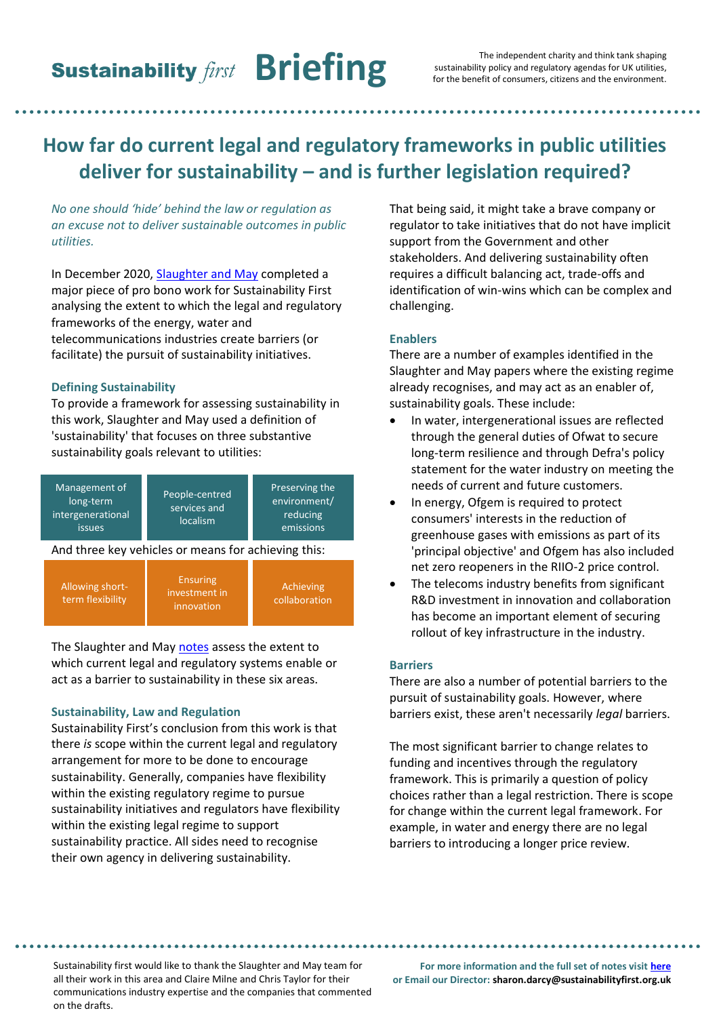# **How far do current legal and regulatory frameworks in public utilities deliver for sustainability – and is further legislation required?**

*No one should 'hide' behind the law or regulation as an excuse not to deliver sustainable outcomes in public utilities.*

In December 2020, [Slaughter and May](https://www.slaughterandmay.com/) completed a major piece of pro bono work for Sustainability First analysing the extent to which the legal and regulatory frameworks of the energy, water and telecommunications industries create barriers (or facilitate) the pursuit of sustainability initiatives.

#### **Defining Sustainability**

To provide a framework for assessing sustainability in this work, Slaughter and May used a definition of 'sustainability' that focuses on three substantive sustainability goals relevant to utilities:

| Management of<br>long-term<br>intergenerational<br><b>issues</b> | People-centred<br>services and<br>localism     | Preserving the<br>environment/<br>reducing<br>emissions |
|------------------------------------------------------------------|------------------------------------------------|---------------------------------------------------------|
| And three key vehicles or means for achieving this:              |                                                |                                                         |
| Allowing short-<br>term flexibility                              | <b>Ensuring</b><br>investment in<br>innovation | Achieving<br>collaboration                              |

The Slaughter and May [notes](https://www.sustainabilityfirst.org.uk/images/publications/fair_for_the_future/Notes_on_Sustainability_Law_and_Regulation_in_the_Utilities_Sector.pdf) assess the extent to which current legal and regulatory systems enable or act as a barrier to sustainability in these six areas.

## **Sustainability, Law and Regulation**

Sustainability First's conclusion from this work is that there *is* scope within the current legal and regulatory arrangement for more to be done to encourage sustainability. Generally, companies have flexibility within the existing regulatory regime to pursue sustainability initiatives and regulators have flexibility within the existing legal regime to support sustainability practice. All sides need to recognise their own agency in delivering sustainability.

That being said, it might take a brave company or regulator to take initiatives that do not have implicit support from the Government and other stakeholders. And delivering sustainability often requires a difficult balancing act, trade-offs and identification of win-wins which can be complex and challenging.

# **Enablers**

There are a number of examples identified in the Slaughter and May papers where the existing regime already recognises, and may act as an enabler of, sustainability goals. These include:

- In water, intergenerational issues are reflected through the general duties of Ofwat to secure long-term resilience and through Defra's policy statement for the water industry on meeting the needs of current and future customers.
- In energy, Ofgem is required to protect consumers' interests in the reduction of greenhouse gases with emissions as part of its 'principal objective' and Ofgem has also included net zero reopeners in the RIIO-2 price control.
- The telecoms industry benefits from significant R&D investment in innovation and collaboration has become an important element of securing rollout of key infrastructure in the industry.

#### **Barriers**

There are also a number of potential barriers to the pursuit of sustainability goals. However, where barriers exist, these aren't necessarily *legal* barriers.

The most significant barrier to change relates to funding and incentives through the regulatory framework. This is primarily a question of policy choices rather than a legal restriction. There is scope for change within the current legal framework. For example, in water and energy there are no legal barriers to introducing a longer price review.

**1** all their work in this area and Claire Milne and Chris Taylor for their Sustainability first would like to thank the Slaughter and May team for communications industry expertise and the companies that commented on the drafts.

**For more information and the full set of notes visit [here](https://www.sustainabilityfirst.org.uk/images/publications/fair_for_the_future/Notes_on_Sustainability_Law_and_Regulation_in_the_Utilities_Sector.pdf) or Email our Director: sharon.darcy@sustainabilityfirst.org.uk**